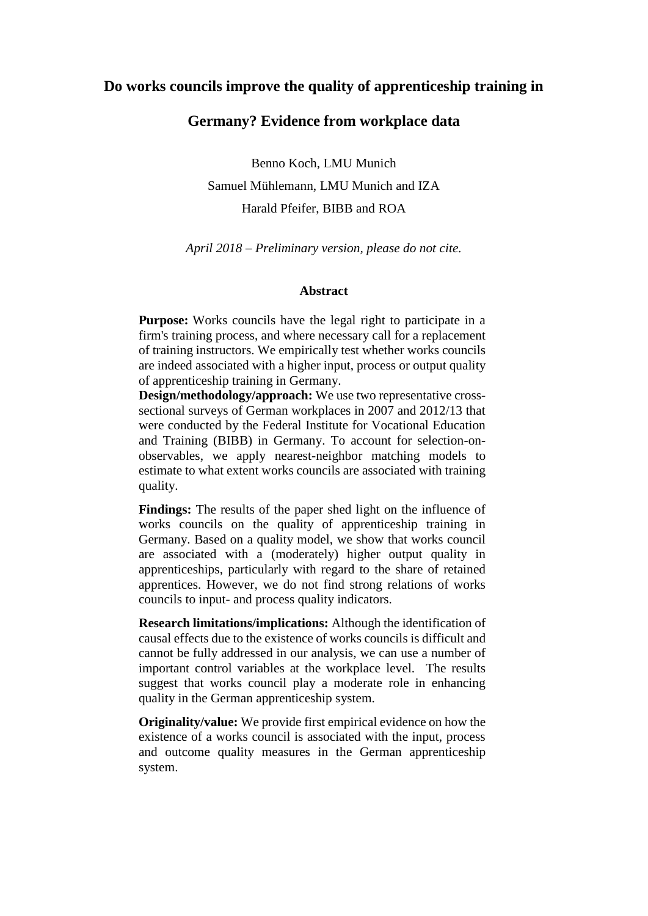## **Do works councils improve the quality of apprenticeship training in**

## **Germany? Evidence from workplace data**

Benno Koch, LMU Munich Samuel Mühlemann, LMU Munich and IZA Harald Pfeifer, BIBB and ROA

*April 2018 – Preliminary version, please do not cite.*

#### **Abstract**

**Purpose:** Works councils have the legal right to participate in a firm's training process, and where necessary call for a replacement of training instructors. We empirically test whether works councils are indeed associated with a higher input, process or output quality of apprenticeship training in Germany.

**Design/methodology/approach:** We use two representative crosssectional surveys of German workplaces in 2007 and 2012/13 that were conducted by the Federal Institute for Vocational Education and Training (BIBB) in Germany. To account for selection-onobservables, we apply nearest-neighbor matching models to estimate to what extent works councils are associated with training quality.

**Findings:** The results of the paper shed light on the influence of works councils on the quality of apprenticeship training in Germany. Based on a quality model, we show that works council are associated with a (moderately) higher output quality in apprenticeships, particularly with regard to the share of retained apprentices. However, we do not find strong relations of works councils to input- and process quality indicators.

**Research limitations/implications:** Although the identification of causal effects due to the existence of works councils is difficult and cannot be fully addressed in our analysis, we can use a number of important control variables at the workplace level. The results suggest that works council play a moderate role in enhancing quality in the German apprenticeship system.

**Originality/value:** We provide first empirical evidence on how the existence of a works council is associated with the input, process and outcome quality measures in the German apprenticeship system.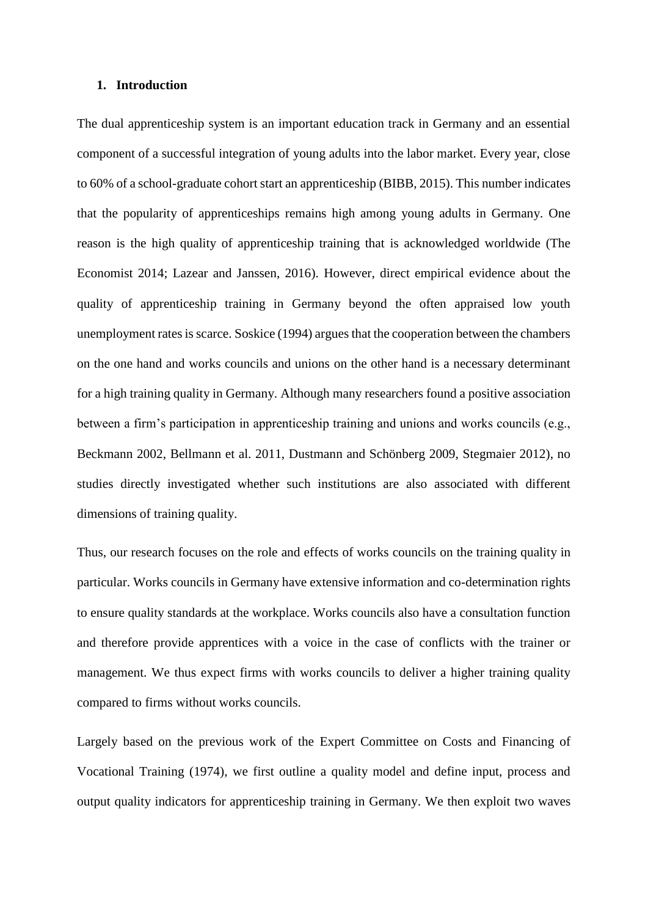#### **1. Introduction**

The dual apprenticeship system is an important education track in Germany and an essential component of a successful integration of young adults into the labor market. Every year, close to 60% of a school-graduate cohort start an apprenticeship (BIBB, 2015). This number indicates that the popularity of apprenticeships remains high among young adults in Germany. One reason is the high quality of apprenticeship training that is acknowledged worldwide (The Economist 2014; Lazear and Janssen, 2016). However, direct empirical evidence about the quality of apprenticeship training in Germany beyond the often appraised low youth unemployment rates is scarce. Soskice (1994) argues that the cooperation between the chambers on the one hand and works councils and unions on the other hand is a necessary determinant for a high training quality in Germany. Although many researchers found a positive association between a firm's participation in apprenticeship training and unions and works councils (e.g., Beckmann 2002, Bellmann et al. 2011, Dustmann and Schönberg 2009, Stegmaier 2012), no studies directly investigated whether such institutions are also associated with different dimensions of training quality.

Thus, our research focuses on the role and effects of works councils on the training quality in particular. Works councils in Germany have extensive information and co-determination rights to ensure quality standards at the workplace. Works councils also have a consultation function and therefore provide apprentices with a voice in the case of conflicts with the trainer or management. We thus expect firms with works councils to deliver a higher training quality compared to firms without works councils.

Largely based on the previous work of the Expert Committee on Costs and Financing of Vocational Training (1974), we first outline a quality model and define input, process and output quality indicators for apprenticeship training in Germany. We then exploit two waves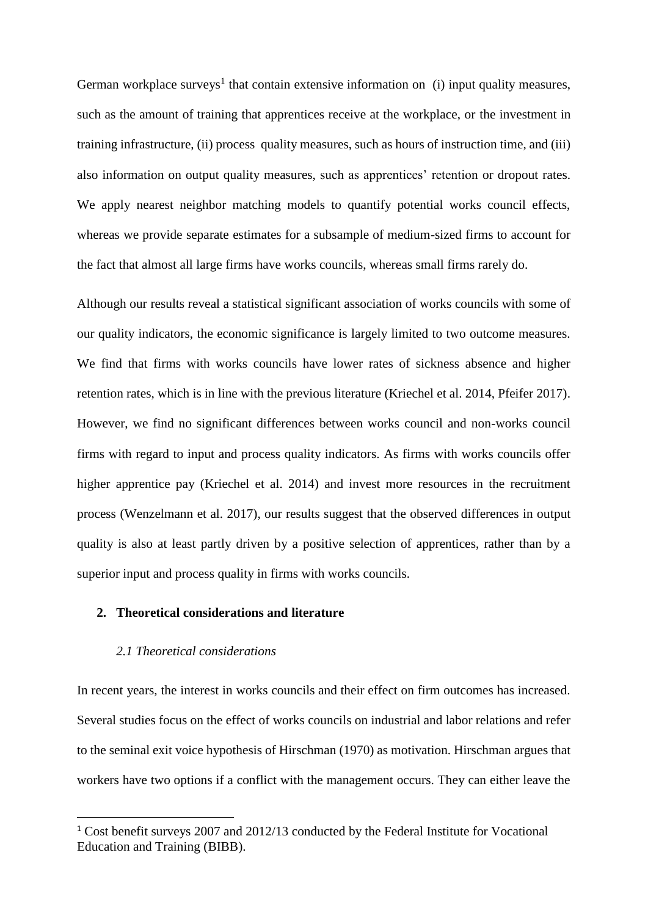German workplace surveys<sup>1</sup> that contain extensive information on (i) input quality measures, such as the amount of training that apprentices receive at the workplace, or the investment in training infrastructure, (ii) process quality measures, such as hours of instruction time, and (iii) also information on output quality measures, such as apprentices' retention or dropout rates. We apply nearest neighbor matching models to quantify potential works council effects, whereas we provide separate estimates for a subsample of medium-sized firms to account for the fact that almost all large firms have works councils, whereas small firms rarely do.

Although our results reveal a statistical significant association of works councils with some of our quality indicators, the economic significance is largely limited to two outcome measures. We find that firms with works councils have lower rates of sickness absence and higher retention rates, which is in line with the previous literature (Kriechel et al. 2014, Pfeifer 2017). However, we find no significant differences between works council and non-works council firms with regard to input and process quality indicators. As firms with works councils offer higher apprentice pay (Kriechel et al. 2014) and invest more resources in the recruitment process (Wenzelmann et al. 2017), our results suggest that the observed differences in output quality is also at least partly driven by a positive selection of apprentices, rather than by a superior input and process quality in firms with works councils.

## **2. Theoretical considerations and literature**

## *2.1 Theoretical considerations*

 $\overline{\phantom{a}}$ 

In recent years, the interest in works councils and their effect on firm outcomes has increased. Several studies focus on the effect of works councils on industrial and labor relations and refer to the seminal exit voice hypothesis of Hirschman (1970) as motivation. Hirschman argues that workers have two options if a conflict with the management occurs. They can either leave the

<sup>1</sup> Cost benefit surveys 2007 and 2012/13 conducted by the Federal Institute for Vocational Education and Training (BIBB).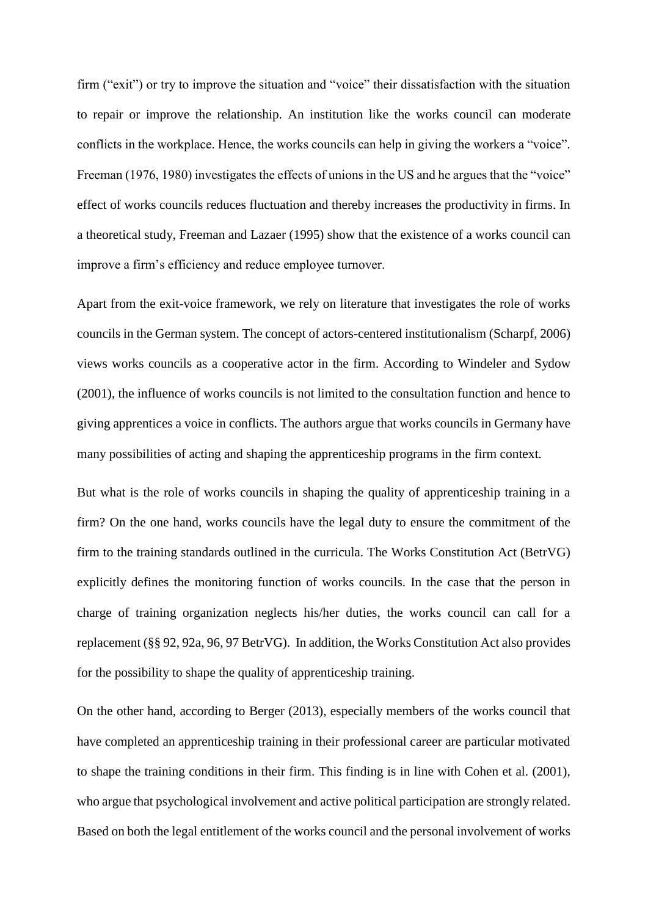firm ("exit") or try to improve the situation and "voice" their dissatisfaction with the situation to repair or improve the relationship. An institution like the works council can moderate conflicts in the workplace. Hence, the works councils can help in giving the workers a "voice". Freeman (1976, 1980) investigates the effects of unions in the US and he argues that the "voice" effect of works councils reduces fluctuation and thereby increases the productivity in firms. In a theoretical study, Freeman and Lazaer (1995) show that the existence of a works council can improve a firm's efficiency and reduce employee turnover.

Apart from the exit-voice framework, we rely on literature that investigates the role of works councils in the German system. The concept of actors-centered institutionalism (Scharpf, 2006) views works councils as a cooperative actor in the firm. According to Windeler and Sydow (2001), the influence of works councils is not limited to the consultation function and hence to giving apprentices a voice in conflicts. The authors argue that works councils in Germany have many possibilities of acting and shaping the apprenticeship programs in the firm context.

But what is the role of works councils in shaping the quality of apprenticeship training in a firm? On the one hand, works councils have the legal duty to ensure the commitment of the firm to the training standards outlined in the curricula. The Works Constitution Act (BetrVG) explicitly defines the monitoring function of works councils. In the case that the person in charge of training organization neglects his/her duties, the works council can call for a replacement (§§ 92, 92a, 96, 97 BetrVG). In addition, the Works Constitution Act also provides for the possibility to shape the quality of apprenticeship training.

On the other hand, according to Berger (2013), especially members of the works council that have completed an apprenticeship training in their professional career are particular motivated to shape the training conditions in their firm. This finding is in line with Cohen et al. (2001), who argue that psychological involvement and active political participation are strongly related. Based on both the legal entitlement of the works council and the personal involvement of works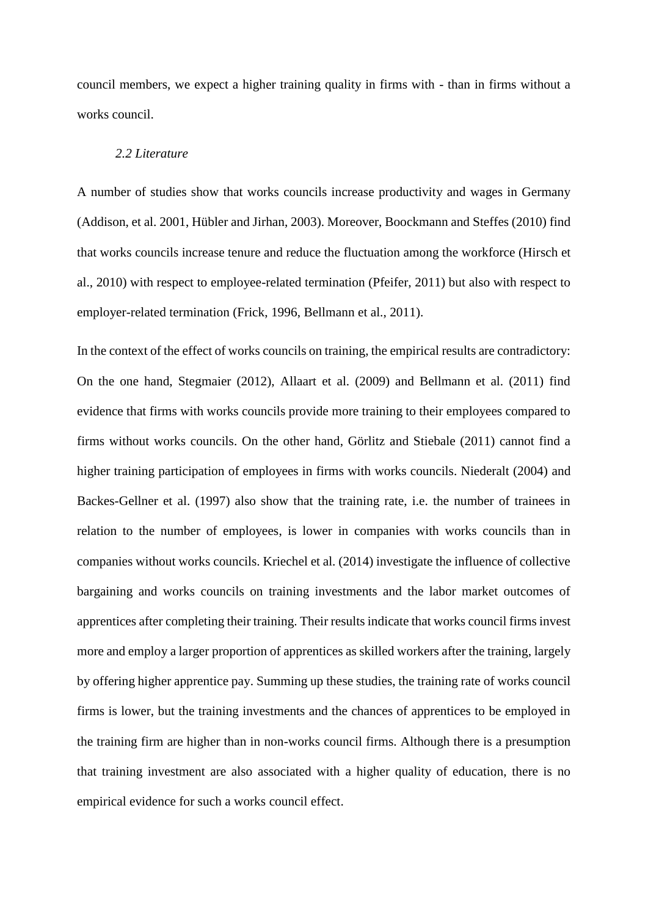council members, we expect a higher training quality in firms with - than in firms without a works council.

## *2.2 Literature*

A number of studies show that works councils increase productivity and wages in Germany (Addison, et al. 2001, Hübler and Jirhan, 2003). Moreover, Boockmann and Steffes (2010) find that works councils increase tenure and reduce the fluctuation among the workforce (Hirsch et al., 2010) with respect to employee-related termination (Pfeifer, 2011) but also with respect to employer-related termination (Frick, 1996, Bellmann et al., 2011).

In the context of the effect of works councils on training, the empirical results are contradictory: On the one hand, Stegmaier (2012), Allaart et al. (2009) and Bellmann et al. (2011) find evidence that firms with works councils provide more training to their employees compared to firms without works councils. On the other hand, Görlitz and Stiebale (2011) cannot find a higher training participation of employees in firms with works councils. Niederalt (2004) and Backes-Gellner et al. (1997) also show that the training rate, i.e. the number of trainees in relation to the number of employees, is lower in companies with works councils than in companies without works councils. Kriechel et al. (2014) investigate the influence of collective bargaining and works councils on training investments and the labor market outcomes of apprentices after completing their training. Their results indicate that works council firms invest more and employ a larger proportion of apprentices as skilled workers after the training, largely by offering higher apprentice pay. Summing up these studies, the training rate of works council firms is lower, but the training investments and the chances of apprentices to be employed in the training firm are higher than in non-works council firms. Although there is a presumption that training investment are also associated with a higher quality of education, there is no empirical evidence for such a works council effect.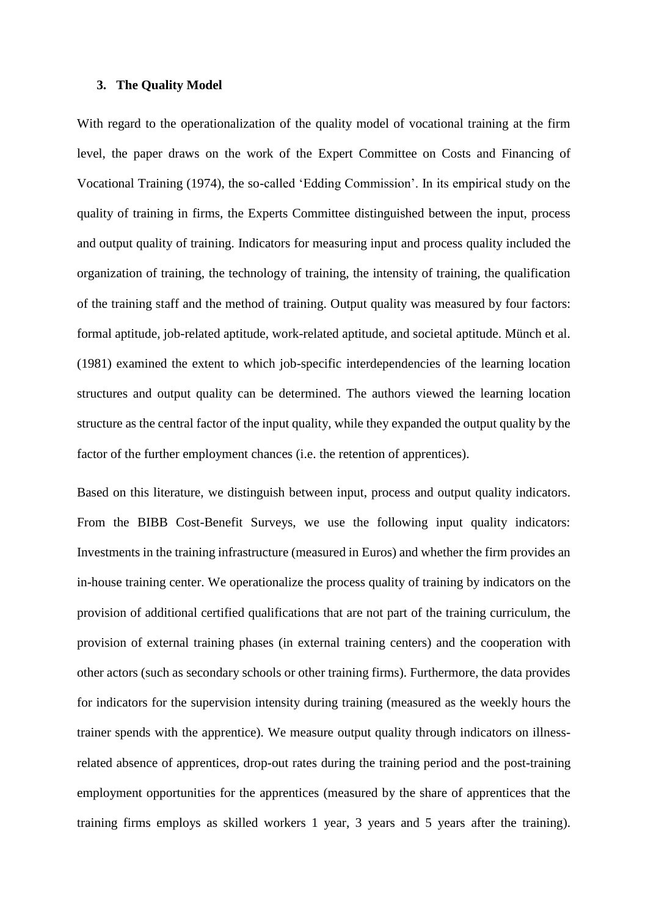#### **3. The Quality Model**

With regard to the operationalization of the quality model of vocational training at the firm level, the paper draws on the work of the Expert Committee on Costs and Financing of Vocational Training (1974), the so-called 'Edding Commission'. In its empirical study on the quality of training in firms, the Experts Committee distinguished between the input, process and output quality of training. Indicators for measuring input and process quality included the organization of training, the technology of training, the intensity of training, the qualification of the training staff and the method of training. Output quality was measured by four factors: formal aptitude, job-related aptitude, work-related aptitude, and societal aptitude. Münch et al. (1981) examined the extent to which job-specific interdependencies of the learning location structures and output quality can be determined. The authors viewed the learning location structure as the central factor of the input quality, while they expanded the output quality by the factor of the further employment chances (i.e. the retention of apprentices).

Based on this literature, we distinguish between input, process and output quality indicators. From the BIBB Cost-Benefit Surveys, we use the following input quality indicators: Investments in the training infrastructure (measured in Euros) and whether the firm provides an in-house training center. We operationalize the process quality of training by indicators on the provision of additional certified qualifications that are not part of the training curriculum, the provision of external training phases (in external training centers) and the cooperation with other actors (such as secondary schools or other training firms). Furthermore, the data provides for indicators for the supervision intensity during training (measured as the weekly hours the trainer spends with the apprentice). We measure output quality through indicators on illnessrelated absence of apprentices, drop-out rates during the training period and the post-training employment opportunities for the apprentices (measured by the share of apprentices that the training firms employs as skilled workers 1 year, 3 years and 5 years after the training).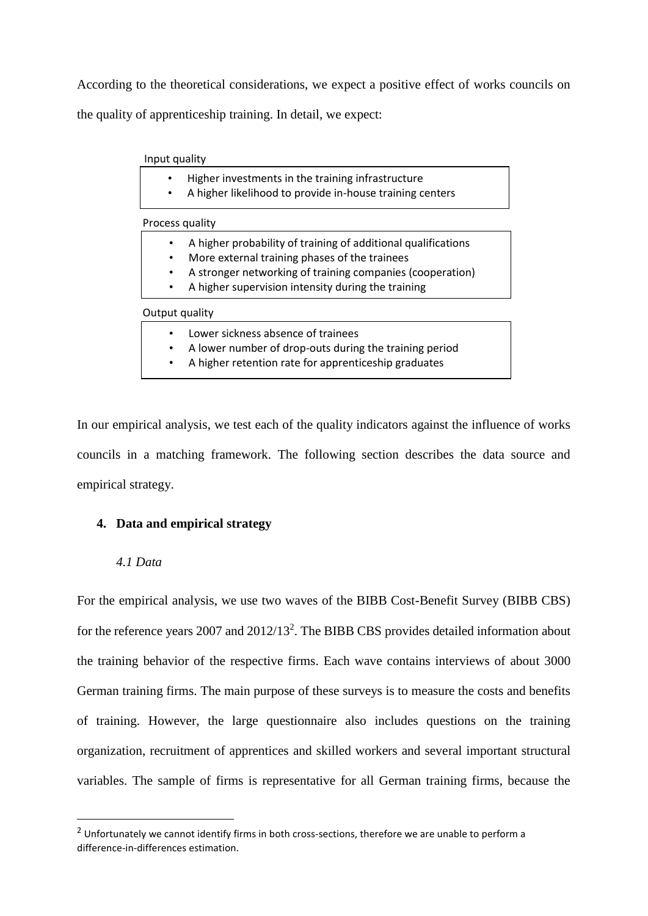According to the theoretical considerations, we expect a positive effect of works councils on the quality of apprenticeship training. In detail, we expect:

#### Input quality

- Higher investments in the training infrastructure
- A higher likelihood to provide in-house training centers

Process quality

- A higher probability of training of additional qualifications
- More external training phases of the trainees
- A stronger networking of training companies (cooperation)
- A higher supervision intensity during the training

#### Output quality

- Lower sickness absence of trainees
- A lower number of drop-outs during the training period
- A higher retention rate for apprenticeship graduates

In our empirical analysis, we test each of the quality indicators against the influence of works councils in a matching framework. The following section describes the data source and empirical strategy.

## **4. Data and empirical strategy**

## *4.1 Data*

**.** 

For the empirical analysis, we use two waves of the BIBB Cost-Benefit Survey (BIBB CBS) for the reference years 2007 and 2012/13<sup>2</sup>. The BIBB CBS provides detailed information about the training behavior of the respective firms. Each wave contains interviews of about 3000 German training firms. The main purpose of these surveys is to measure the costs and benefits of training. However, the large questionnaire also includes questions on the training organization, recruitment of apprentices and skilled workers and several important structural variables. The sample of firms is representative for all German training firms, because the

<sup>&</sup>lt;sup>2</sup> Unfortunately we cannot identify firms in both cross-sections, therefore we are unable to perform a difference-in-differences estimation.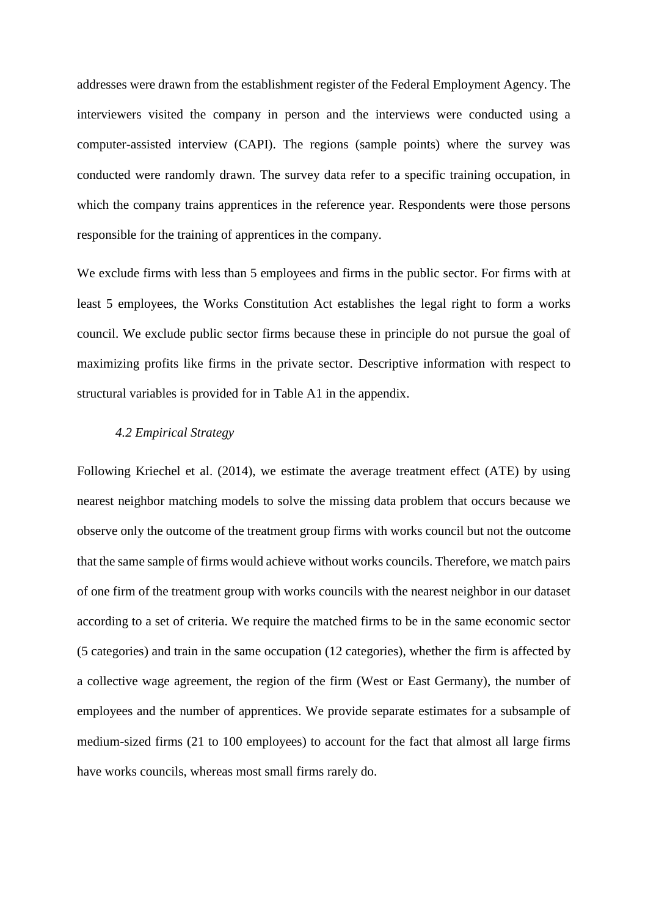addresses were drawn from the establishment register of the Federal Employment Agency. The interviewers visited the company in person and the interviews were conducted using a computer-assisted interview (CAPI). The regions (sample points) where the survey was conducted were randomly drawn. The survey data refer to a specific training occupation, in which the company trains apprentices in the reference year. Respondents were those persons responsible for the training of apprentices in the company.

We exclude firms with less than 5 employees and firms in the public sector. For firms with at least 5 employees, the Works Constitution Act establishes the legal right to form a works council. We exclude public sector firms because these in principle do not pursue the goal of maximizing profits like firms in the private sector. Descriptive information with respect to structural variables is provided for in Table A1 in the appendix.

## *4.2 Empirical Strategy*

Following Kriechel et al. (2014), we estimate the average treatment effect (ATE) by using nearest neighbor matching models to solve the missing data problem that occurs because we observe only the outcome of the treatment group firms with works council but not the outcome that the same sample of firms would achieve without works councils. Therefore, we match pairs of one firm of the treatment group with works councils with the nearest neighbor in our dataset according to a set of criteria. We require the matched firms to be in the same economic sector (5 categories) and train in the same occupation (12 categories), whether the firm is affected by a collective wage agreement, the region of the firm (West or East Germany), the number of employees and the number of apprentices. We provide separate estimates for a subsample of medium-sized firms (21 to 100 employees) to account for the fact that almost all large firms have works councils, whereas most small firms rarely do.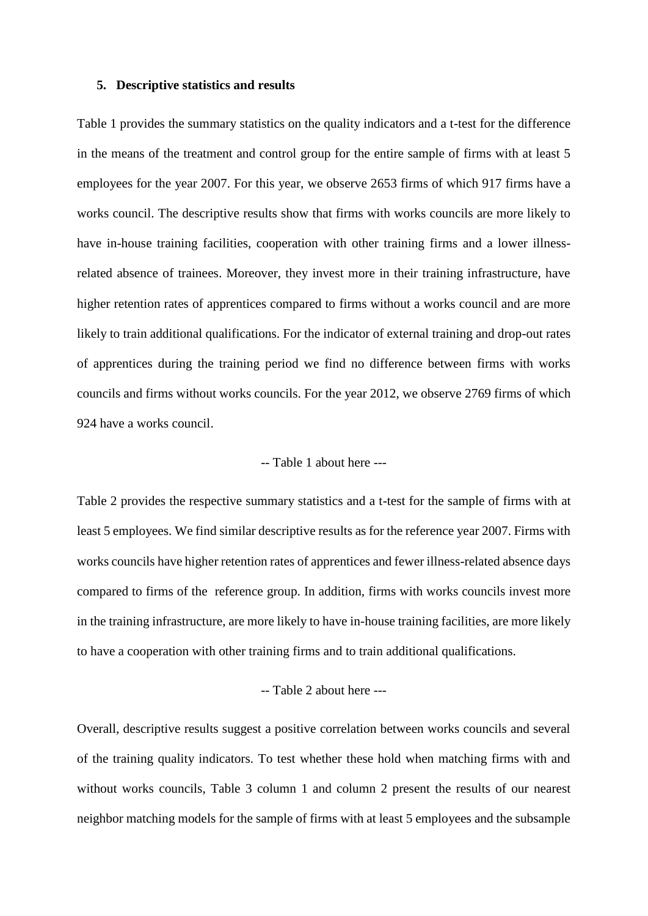#### **5. Descriptive statistics and results**

Table 1 provides the summary statistics on the quality indicators and a t-test for the difference in the means of the treatment and control group for the entire sample of firms with at least 5 employees for the year 2007. For this year, we observe 2653 firms of which 917 firms have a works council. The descriptive results show that firms with works councils are more likely to have in-house training facilities, cooperation with other training firms and a lower illnessrelated absence of trainees. Moreover, they invest more in their training infrastructure, have higher retention rates of apprentices compared to firms without a works council and are more likely to train additional qualifications. For the indicator of external training and drop-out rates of apprentices during the training period we find no difference between firms with works councils and firms without works councils. For the year 2012, we observe 2769 firms of which 924 have a works council.

## -- Table 1 about here ---

Table 2 provides the respective summary statistics and a t-test for the sample of firms with at least 5 employees. We find similar descriptive results as for the reference year 2007. Firms with works councils have higher retention rates of apprentices and fewer illness-related absence days compared to firms of the reference group. In addition, firms with works councils invest more in the training infrastructure, are more likely to have in-house training facilities, are more likely to have a cooperation with other training firms and to train additional qualifications.

## -- Table 2 about here ---

Overall, descriptive results suggest a positive correlation between works councils and several of the training quality indicators. To test whether these hold when matching firms with and without works councils, Table 3 column 1 and column 2 present the results of our nearest neighbor matching models for the sample of firms with at least 5 employees and the subsample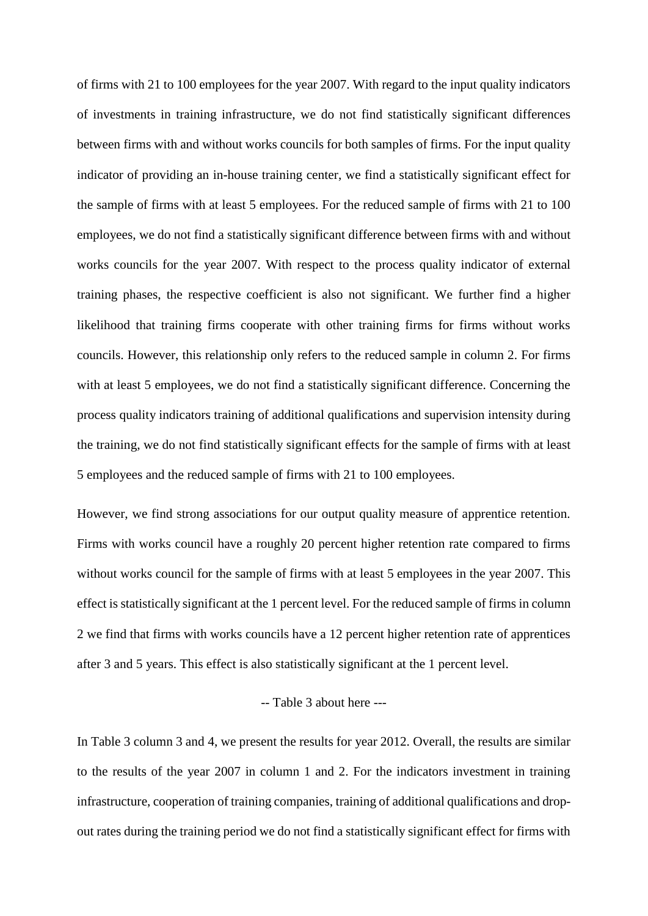of firms with 21 to 100 employees for the year 2007. With regard to the input quality indicators of investments in training infrastructure, we do not find statistically significant differences between firms with and without works councils for both samples of firms. For the input quality indicator of providing an in-house training center, we find a statistically significant effect for the sample of firms with at least 5 employees. For the reduced sample of firms with 21 to 100 employees, we do not find a statistically significant difference between firms with and without works councils for the year 2007. With respect to the process quality indicator of external training phases, the respective coefficient is also not significant. We further find a higher likelihood that training firms cooperate with other training firms for firms without works councils. However, this relationship only refers to the reduced sample in column 2. For firms with at least 5 employees, we do not find a statistically significant difference. Concerning the process quality indicators training of additional qualifications and supervision intensity during the training, we do not find statistically significant effects for the sample of firms with at least 5 employees and the reduced sample of firms with 21 to 100 employees.

However, we find strong associations for our output quality measure of apprentice retention. Firms with works council have a roughly 20 percent higher retention rate compared to firms without works council for the sample of firms with at least 5 employees in the year 2007. This effect is statistically significant at the 1 percent level. For the reduced sample of firms in column 2 we find that firms with works councils have a 12 percent higher retention rate of apprentices after 3 and 5 years. This effect is also statistically significant at the 1 percent level.

## -- Table 3 about here ---

In Table 3 column 3 and 4, we present the results for year 2012. Overall, the results are similar to the results of the year 2007 in column 1 and 2. For the indicators investment in training infrastructure, cooperation of training companies, training of additional qualifications and dropout rates during the training period we do not find a statistically significant effect for firms with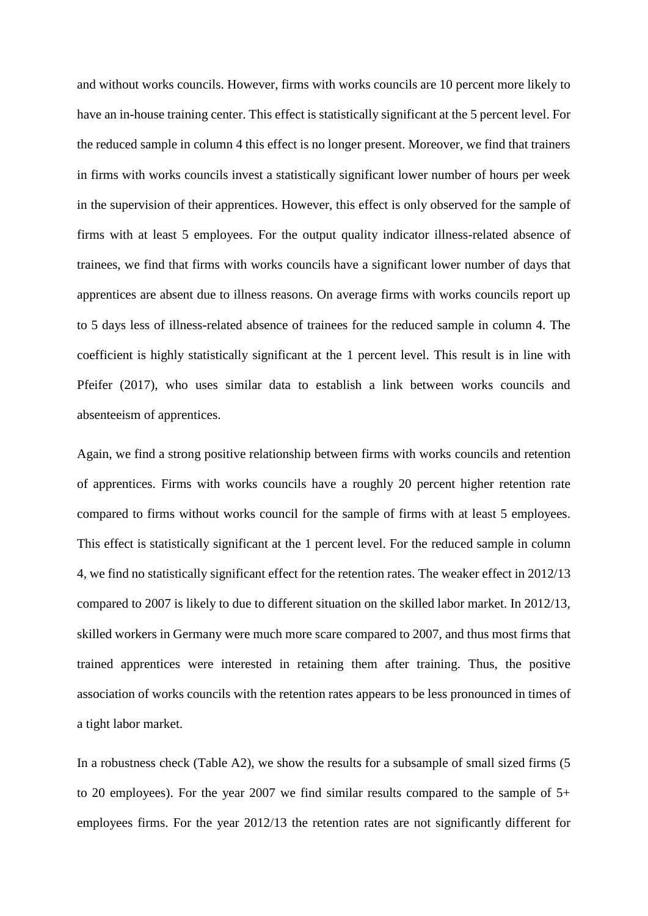and without works councils. However, firms with works councils are 10 percent more likely to have an in-house training center. This effect is statistically significant at the 5 percent level. For the reduced sample in column 4 this effect is no longer present. Moreover, we find that trainers in firms with works councils invest a statistically significant lower number of hours per week in the supervision of their apprentices. However, this effect is only observed for the sample of firms with at least 5 employees. For the output quality indicator illness-related absence of trainees, we find that firms with works councils have a significant lower number of days that apprentices are absent due to illness reasons. On average firms with works councils report up to 5 days less of illness-related absence of trainees for the reduced sample in column 4. The coefficient is highly statistically significant at the 1 percent level. This result is in line with Pfeifer (2017), who uses similar data to establish a link between works councils and absenteeism of apprentices.

Again, we find a strong positive relationship between firms with works councils and retention of apprentices. Firms with works councils have a roughly 20 percent higher retention rate compared to firms without works council for the sample of firms with at least 5 employees. This effect is statistically significant at the 1 percent level. For the reduced sample in column 4, we find no statistically significant effect for the retention rates. The weaker effect in 2012/13 compared to 2007 is likely to due to different situation on the skilled labor market. In 2012/13, skilled workers in Germany were much more scare compared to 2007, and thus most firms that trained apprentices were interested in retaining them after training. Thus, the positive association of works councils with the retention rates appears to be less pronounced in times of a tight labor market.

In a robustness check (Table A2), we show the results for a subsample of small sized firms (5 to 20 employees). For the year 2007 we find similar results compared to the sample of 5+ employees firms. For the year 2012/13 the retention rates are not significantly different for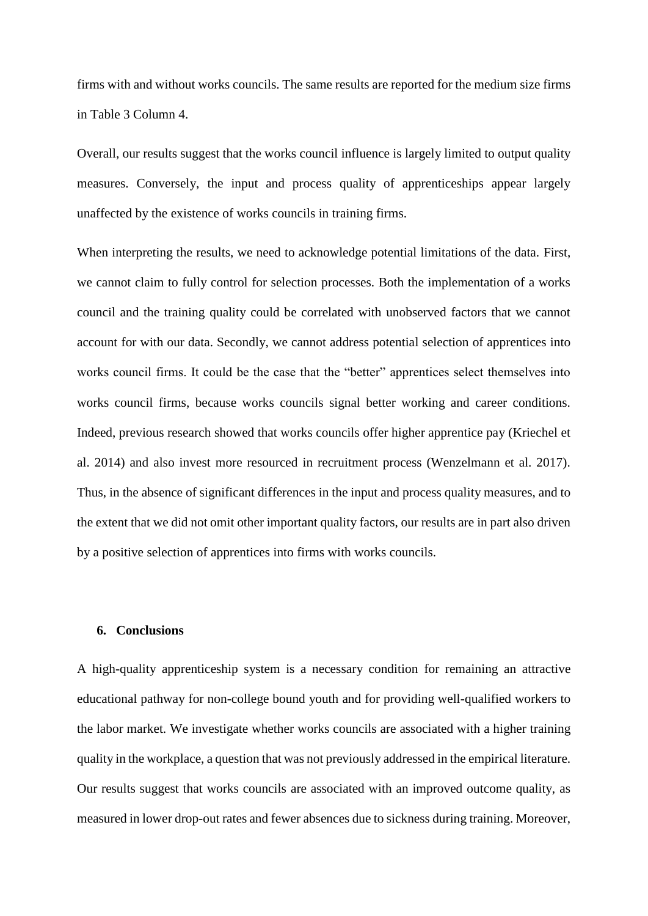firms with and without works councils. The same results are reported for the medium size firms in Table 3 Column 4.

Overall, our results suggest that the works council influence is largely limited to output quality measures. Conversely, the input and process quality of apprenticeships appear largely unaffected by the existence of works councils in training firms.

When interpreting the results, we need to acknowledge potential limitations of the data. First, we cannot claim to fully control for selection processes. Both the implementation of a works council and the training quality could be correlated with unobserved factors that we cannot account for with our data. Secondly, we cannot address potential selection of apprentices into works council firms. It could be the case that the "better" apprentices select themselves into works council firms, because works councils signal better working and career conditions. Indeed, previous research showed that works councils offer higher apprentice pay (Kriechel et al. 2014) and also invest more resourced in recruitment process (Wenzelmann et al. 2017). Thus, in the absence of significant differences in the input and process quality measures, and to the extent that we did not omit other important quality factors, our results are in part also driven by a positive selection of apprentices into firms with works councils.

## **6. Conclusions**

A high-quality apprenticeship system is a necessary condition for remaining an attractive educational pathway for non-college bound youth and for providing well-qualified workers to the labor market. We investigate whether works councils are associated with a higher training quality in the workplace, a question that was not previously addressed in the empirical literature. Our results suggest that works councils are associated with an improved outcome quality, as measured in lower drop-out rates and fewer absences due to sickness during training. Moreover,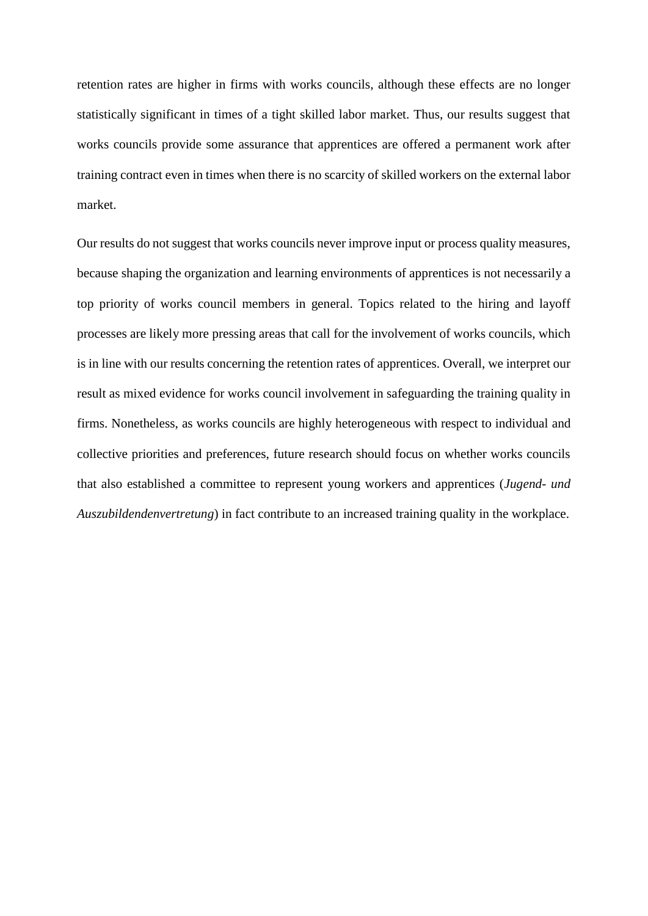retention rates are higher in firms with works councils, although these effects are no longer statistically significant in times of a tight skilled labor market. Thus, our results suggest that works councils provide some assurance that apprentices are offered a permanent work after training contract even in times when there is no scarcity of skilled workers on the external labor market.

Our results do not suggest that works councils never improve input or process quality measures, because shaping the organization and learning environments of apprentices is not necessarily a top priority of works council members in general. Topics related to the hiring and layoff processes are likely more pressing areas that call for the involvement of works councils, which is in line with our results concerning the retention rates of apprentices. Overall, we interpret our result as mixed evidence for works council involvement in safeguarding the training quality in firms. Nonetheless, as works councils are highly heterogeneous with respect to individual and collective priorities and preferences, future research should focus on whether works councils that also established a committee to represent young workers and apprentices (*Jugend- und Auszubildendenvertretung*) in fact contribute to an increased training quality in the workplace.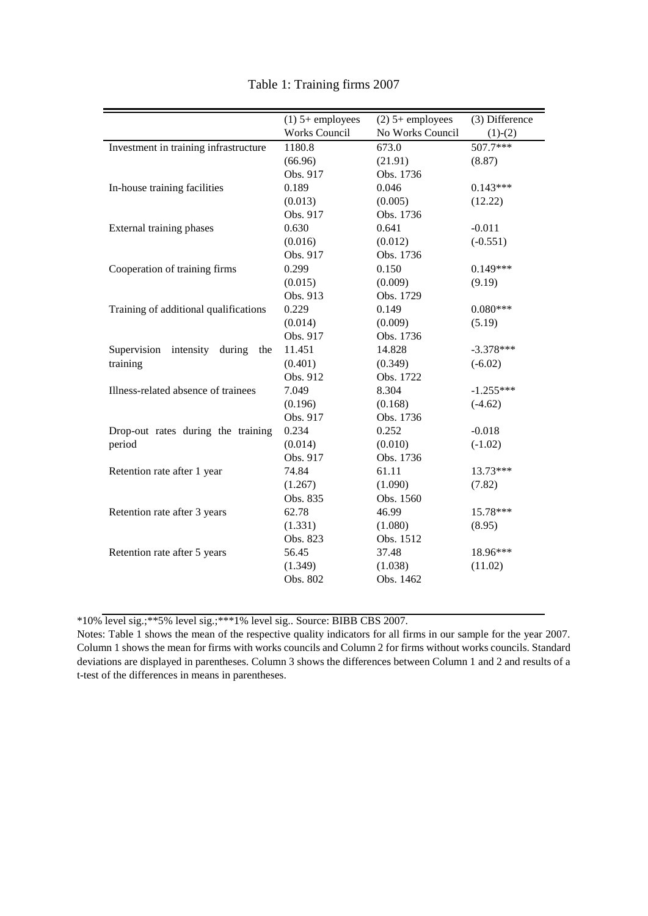|                                           | $(1)$ 5+ employees   | $(2)$ 5+ employees | (3) Difference |
|-------------------------------------------|----------------------|--------------------|----------------|
|                                           | <b>Works Council</b> | No Works Council   | $(1)-(2)$      |
| Investment in training infrastructure     | 1180.8               | 673.0              | $507.7***$     |
|                                           | (66.96)              | (21.91)            | (8.87)         |
|                                           | Obs. 917             | Obs. 1736          |                |
| In-house training facilities              | 0.189                | 0.046              | $0.143***$     |
|                                           | (0.013)              | (0.005)            | (12.22)        |
|                                           | Obs. 917             | Obs. 1736          |                |
| External training phases                  | 0.630                | 0.641              | $-0.011$       |
|                                           | (0.016)              | (0.012)            | $(-0.551)$     |
|                                           | Obs. 917             | Obs. 1736          |                |
| Cooperation of training firms             | 0.299                | 0.150              | $0.149***$     |
|                                           | (0.015)              | (0.009)            | (9.19)         |
|                                           | Obs. 913             | Obs. 1729          |                |
| Training of additional qualifications     | 0.229                | 0.149              | $0.080***$     |
|                                           | (0.014)              | (0.009)            | (5.19)         |
|                                           | Obs. 917             | Obs. 1736          |                |
| Supervision<br>intensity<br>during<br>the | 11.451               | 14.828             | $-3.378***$    |
| training                                  | (0.401)              | (0.349)            | $(-6.02)$      |
|                                           | Obs. 912             | Obs. 1722          |                |
| Illness-related absence of trainees       | 7.049                | 8.304              | $-1.255***$    |
|                                           | (0.196)              | (0.168)            | $(-4.62)$      |
|                                           | Obs. 917             | Obs. 1736          |                |
| Drop-out rates during the training        | 0.234                | 0.252              | $-0.018$       |
| period                                    | (0.014)              | (0.010)            | $(-1.02)$      |
|                                           | Obs. 917             | Obs. 1736          |                |
| Retention rate after 1 year               | 74.84                | 61.11              | 13.73***       |
|                                           | (1.267)              | (1.090)            | (7.82)         |
|                                           | Obs. 835             | Obs. 1560          |                |
| Retention rate after 3 years              | 62.78                | 46.99              | 15.78***       |
|                                           | (1.331)              | (1.080)            | (8.95)         |
|                                           | Obs. 823             | Obs. 1512          |                |
| Retention rate after 5 years              | 56.45                | 37.48              | 18.96***       |
|                                           | (1.349)              | (1.038)            | (11.02)        |
|                                           | Obs. 802             | Obs. 1462          |                |
|                                           |                      |                    |                |

Table 1: Training firms 2007

\*10% level sig.;\*\*5% level sig.;\*\*\*1% level sig.. Source: BIBB CBS 2007.

Notes: Table 1 shows the mean of the respective quality indicators for all firms in our sample for the year 2007. Column 1 shows the mean for firms with works councils and Column 2 for firms without works councils. Standard deviations are displayed in parentheses. Column 3 shows the differences between Column 1 and 2 and results of a t-test of the differences in means in parentheses.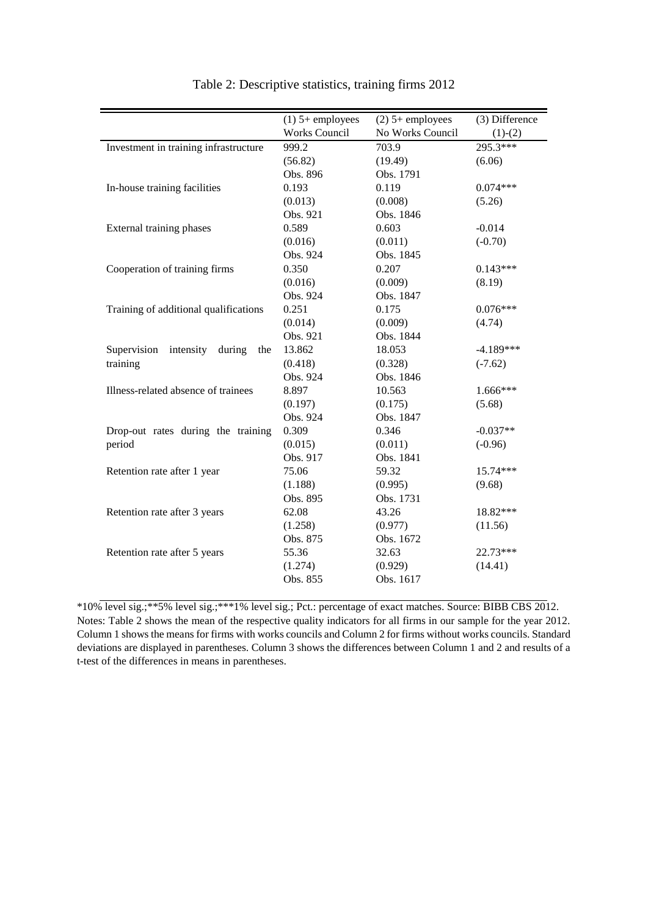|                                           | $(1)$ 5+ employees   | $(2)$ 5+ employees | (3) Difference |
|-------------------------------------------|----------------------|--------------------|----------------|
|                                           | <b>Works Council</b> | No Works Council   | $(1)-(2)$      |
| Investment in training infrastructure     | 999.2                | 703.9              | 295.3***       |
|                                           | (56.82)              | (19.49)            | (6.06)         |
|                                           | Obs. 896             | Obs. 1791          |                |
| In-house training facilities              | 0.193                | 0.119              | $0.074***$     |
|                                           | (0.013)              | (0.008)            | (5.26)         |
|                                           | Obs. 921             | Obs. 1846          |                |
| External training phases                  | 0.589                | 0.603              | $-0.014$       |
|                                           | (0.016)              | (0.011)            | $(-0.70)$      |
|                                           | Obs. 924             | Obs. 1845          |                |
| Cooperation of training firms             | 0.350                | 0.207              | $0.143***$     |
|                                           | (0.016)              | (0.009)            | (8.19)         |
|                                           | Obs. 924             | Obs. 1847          |                |
| Training of additional qualifications     | 0.251                | 0.175              | $0.076***$     |
|                                           | (0.014)              | (0.009)            | (4.74)         |
|                                           | Obs. 921             | Obs. 1844          |                |
| Supervision<br>intensity<br>during<br>the | 13.862               | 18.053             | $-4.189***$    |
| training                                  | (0.418)              | (0.328)            | $(-7.62)$      |
|                                           | Obs. 924             | Obs. 1846          |                |
| Illness-related absence of trainees       | 8.897                | 10.563             | 1.666***       |
|                                           | (0.197)              | (0.175)            | (5.68)         |
|                                           | Obs. 924             | Obs. 1847          |                |
| Drop-out rates during the training        | 0.309                | 0.346              | $-0.037**$     |
| period                                    | (0.015)              | (0.011)            | $(-0.96)$      |
|                                           | Obs. 917             | Obs. 1841          |                |
| Retention rate after 1 year               | 75.06                | 59.32              | 15.74***       |
|                                           | (1.188)              | (0.995)            | (9.68)         |
|                                           | Obs. 895             | Obs. 1731          |                |
| Retention rate after 3 years              | 62.08                | 43.26              | 18.82***       |
|                                           | (1.258)              | (0.977)            | (11.56)        |
|                                           | Obs. 875             | Obs. 1672          |                |
| Retention rate after 5 years              | 55.36                | 32.63              | 22.73***       |
|                                           | (1.274)              | (0.929)            | (14.41)        |
|                                           | Obs. 855             | Obs. 1617          |                |
|                                           |                      |                    |                |

| Table 2: Descriptive statistics, training firms 2012 |  |
|------------------------------------------------------|--|
|                                                      |  |

\*10% level sig.;\*\*5% level sig.;\*\*\*1% level sig.; Pct.: percentage of exact matches. Source: BIBB CBS 2012. Notes: Table 2 shows the mean of the respective quality indicators for all firms in our sample for the year 2012. Column 1 shows the means for firms with works councils and Column 2 for firms without works councils. Standard deviations are displayed in parentheses. Column 3 shows the differences between Column 1 and 2 and results of a t-test of the differences in means in parentheses.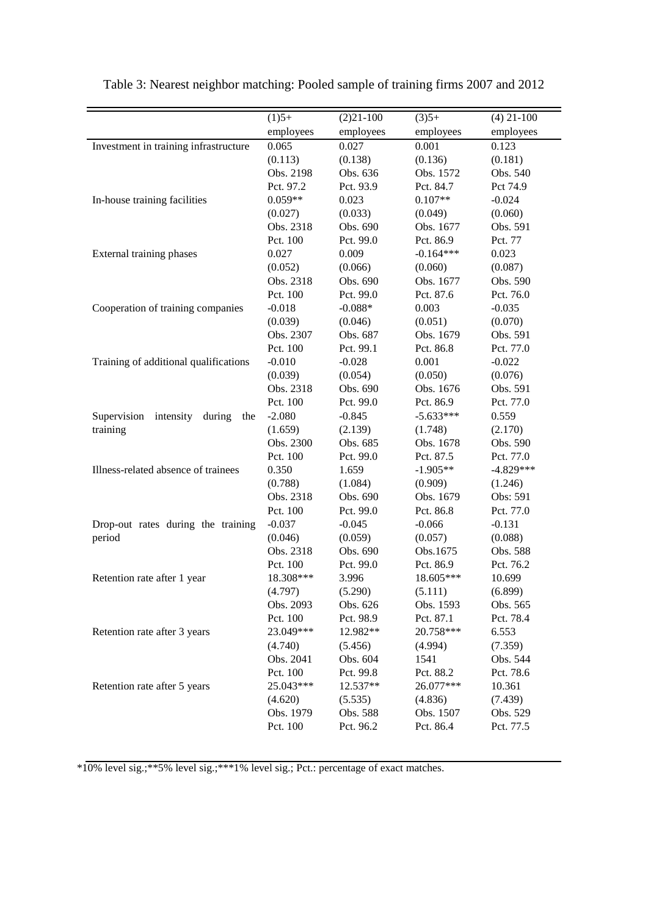|                                        | $(1)5+$   | $(2)21-100$ | $(3)5+$              | $(4)$ 21-100        |
|----------------------------------------|-----------|-------------|----------------------|---------------------|
|                                        | employees | employees   | employees            | employees           |
| Investment in training infrastructure  | 0.065     | 0.027       | 0.001                | 0.123               |
|                                        | (0.113)   | (0.138)     | (0.136)              | (0.181)             |
|                                        | Obs. 2198 | Obs. 636    | Obs. 1572            | Obs. 540            |
|                                        | Pct. 97.2 | Pct. 93.9   | Pct. 84.7            | Pct 74.9            |
| In-house training facilities           | $0.059**$ | 0.023       | $0.107**$            | $-0.024$            |
|                                        | (0.027)   | (0.033)     | (0.049)              | (0.060)             |
|                                        | Obs. 2318 | Obs. 690    | Obs. 1677            | Obs. 591            |
|                                        | Pct. 100  | Pct. 99.0   | Pct. 86.9            | Pct. 77             |
| External training phases               | 0.027     | 0.009       | $-0.164***$          | 0.023               |
|                                        | (0.052)   | (0.066)     |                      |                     |
|                                        | Obs. 2318 | Obs. 690    | (0.060)<br>Obs. 1677 | (0.087)<br>Obs. 590 |
|                                        | Pct. 100  |             | Pct. 87.6            |                     |
|                                        |           | Pct. 99.0   |                      | Pct. 76.0           |
| Cooperation of training companies      | $-0.018$  | $-0.088*$   | 0.003                | $-0.035$            |
|                                        | (0.039)   | (0.046)     | (0.051)              | (0.070)             |
|                                        | Obs. 2307 | Obs. 687    | Obs. 1679            | Obs. 591            |
|                                        | Pct. 100  | Pct. 99.1   | Pct. 86.8            | Pct. 77.0           |
| Training of additional qualifications  | $-0.010$  | $-0.028$    | 0.001                | $-0.022$            |
|                                        | (0.039)   | (0.054)     | (0.050)              | (0.076)             |
|                                        | Obs. 2318 | Obs. 690    | Obs. 1676            | Obs. 591            |
|                                        | Pct. 100  | Pct. 99.0   | Pct. 86.9            | Pct. 77.0           |
| Supervision intensity<br>during<br>the | $-2.080$  | $-0.845$    | $-5.633***$          | 0.559               |
| training                               | (1.659)   | (2.139)     | (1.748)              | (2.170)             |
|                                        | Obs. 2300 | Obs. 685    | Obs. 1678            | Obs. 590            |
|                                        | Pct. 100  | Pct. 99.0   | Pct. 87.5            | Pct. 77.0           |
| Illness-related absence of trainees    | 0.350     | 1.659       | $-1.905**$           | $-4.829***$         |
|                                        | (0.788)   | (1.084)     | (0.909)              | (1.246)             |
|                                        | Obs. 2318 | Obs. 690    | Obs. 1679            | Obs: 591            |
|                                        | Pct. 100  | Pct. 99.0   | Pct. 86.8            | Pct. 77.0           |
| Drop-out rates during the training     | $-0.037$  | $-0.045$    | $-0.066$             | $-0.131$            |
| period                                 | (0.046)   | (0.059)     | (0.057)              | (0.088)             |
|                                        | Obs. 2318 | Obs. 690    | Obs.1675             | Obs. 588            |
|                                        | Pct. 100  | Pct. 99.0   | Pct. 86.9            | Pct. 76.2           |
| Retention rate after 1 year            | 18.308*** | 3.996       | 18.605***            | 10.699              |
|                                        | (4.797)   | (5.290)     | (5.111)              | (6.899)             |
|                                        | Obs. 2093 | Obs. 626    | Obs. 1593            | Obs. 565            |
|                                        | Pct. 100  | Pct. 98.9   | Pct. 87.1            | Pct. 78.4           |
| Retention rate after 3 years           | 23.049*** | 12.982**    | 20.758***            | 6.553               |
|                                        | (4.740)   | (5.456)     | (4.994)              | (7.359)             |
|                                        | Obs. 2041 | Obs. 604    | 1541                 | Obs. 544            |
|                                        | Pct. 100  | Pct. 99.8   | Pct. 88.2            | Pct. 78.6           |
| Retention rate after 5 years           | 25.043*** | 12.537**    | 26.077***            | 10.361              |
|                                        | (4.620)   | (5.535)     | (4.836)              | (7.439)             |
|                                        | Obs. 1979 | Obs. 588    | Obs. 1507            | Obs. 529            |
|                                        | Pct. 100  | Pct. 96.2   | Pct. 86.4            | Pct. 77.5           |

Table 3: Nearest neighbor matching: Pooled sample of training firms 2007 and 2012

\*10% level sig.;\*\*5% level sig.;\*\*\*1% level sig.; Pct.: percentage of exact matches.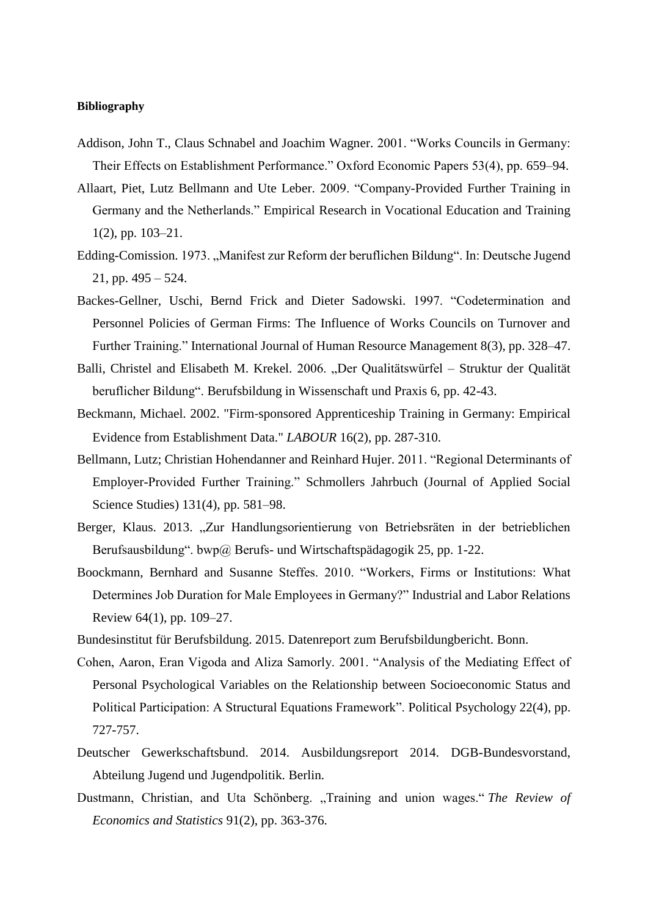#### **Bibliography**

- Addison, John T., Claus Schnabel and Joachim Wagner. 2001. "Works Councils in Germany: Their Effects on Establishment Performance." Oxford Economic Papers 53(4), pp. 659–94.
- Allaart, Piet, Lutz Bellmann and Ute Leber. 2009. "Company-Provided Further Training in Germany and the Netherlands." Empirical Research in Vocational Education and Training 1(2), pp. 103–21.
- Edding-Comission. 1973. "Manifest zur Reform der beruflichen Bildung". In: Deutsche Jugend 21, pp. 495 – 524.
- Backes-Gellner, Uschi, Bernd Frick and Dieter Sadowski. 1997. "Codetermination and Personnel Policies of German Firms: The Influence of Works Councils on Turnover and Further Training." International Journal of Human Resource Management 8(3), pp. 328–47.
- Balli, Christel and Elisabeth M. Krekel. 2006. "Der Qualitätswürfel Struktur der Qualität beruflicher Bildung". Berufsbildung in Wissenschaft und Praxis 6, pp. 42-43.
- Beckmann, Michael. 2002. "Firm‐sponsored Apprenticeship Training in Germany: Empirical Evidence from Establishment Data." *LABOUR* 16(2), pp. 287-310.
- Bellmann, Lutz; Christian Hohendanner and Reinhard Hujer. 2011. "Regional Determinants of Employer-Provided Further Training." Schmollers Jahrbuch (Journal of Applied Social Science Studies) 131(4), pp. 581–98.
- Berger, Klaus. 2013. "Zur Handlungsorientierung von Betriebsräten in der betrieblichen Berufsausbildung". bwp@ Berufs- und Wirtschaftspädagogik 25, pp. 1-22.
- Boockmann, Bernhard and Susanne Steffes. 2010. "Workers, Firms or Institutions: What Determines Job Duration for Male Employees in Germany?" Industrial and Labor Relations Review 64(1), pp. 109–27.
- Bundesinstitut für Berufsbildung. 2015. Datenreport zum Berufsbildungbericht. Bonn.
- Cohen, Aaron, Eran Vigoda and Aliza Samorly. 2001. "Analysis of the Mediating Effect of Personal Psychological Variables on the Relationship between Socioeconomic Status and Political Participation: A Structural Equations Framework". Political Psychology 22(4), pp. 727-757.
- Deutscher Gewerkschaftsbund. 2014. Ausbildungsreport 2014. DGB-Bundesvorstand, Abteilung Jugend und Jugendpolitik. Berlin.
- Dustmann, Christian, and Uta Schönberg. "Training and union wages." The Review of *Economics and Statistics* 91(2), pp. 363-376.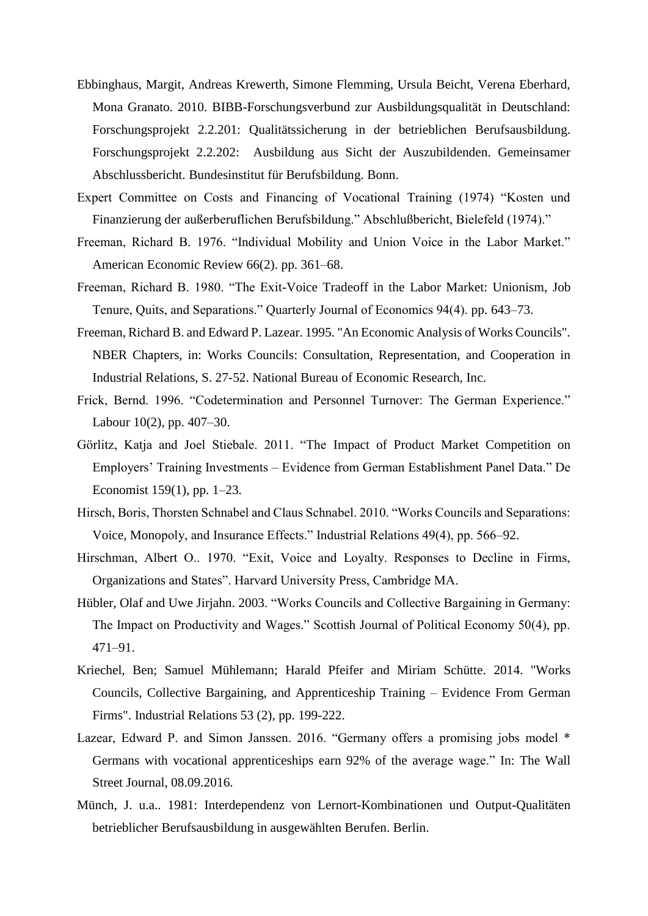- Ebbinghaus, Margit, Andreas Krewerth, Simone Flemming, Ursula Beicht, Verena Eberhard, Mona Granato. 2010. BIBB-Forschungsverbund zur Ausbildungsqualität in Deutschland: Forschungsprojekt 2.2.201: Qualitätssicherung in der betrieblichen Berufsausbildung. Forschungsprojekt 2.2.202: Ausbildung aus Sicht der Auszubildenden. Gemeinsamer Abschlussbericht. Bundesinstitut für Berufsbildung. Bonn.
- Expert Committee on Costs and Financing of Vocational Training (1974) "Kosten und Finanzierung der außerberuflichen Berufsbildung." Abschlußbericht, Bielefeld (1974)."
- Freeman, Richard B. 1976. "Individual Mobility and Union Voice in the Labor Market." American Economic Review 66(2). pp. 361–68.
- Freeman, Richard B. 1980. "The Exit-Voice Tradeoff in the Labor Market: Unionism, Job Tenure, Quits, and Separations." Quarterly Journal of Economics 94(4). pp. 643–73.
- Freeman, Richard B. and Edward P. Lazear. 1995. "An Economic Analysis of Works Councils". NBER Chapters, in: Works Councils: Consultation, Representation, and Cooperation in Industrial Relations, S. 27-52. National Bureau of Economic Research, Inc.
- Frick, Bernd. 1996. "Codetermination and Personnel Turnover: The German Experience." Labour 10(2), pp. 407–30.
- Görlitz, Katja and Joel Stiebale. 2011. "The Impact of Product Market Competition on Employers' Training Investments – Evidence from German Establishment Panel Data." De Economist 159(1), pp. 1–23.
- Hirsch, Boris, Thorsten Schnabel and Claus Schnabel. 2010. "Works Councils and Separations: Voice, Monopoly, and Insurance Effects." Industrial Relations 49(4), pp. 566–92.
- Hirschman, Albert O.. 1970. "Exit, Voice and Loyalty. Responses to Decline in Firms, Organizations and States". Harvard University Press, Cambridge MA.
- Hübler, Olaf and Uwe Jirjahn. 2003. "Works Councils and Collective Bargaining in Germany: The Impact on Productivity and Wages." Scottish Journal of Political Economy 50(4), pp. 471–91.
- Kriechel, Ben; Samuel Mühlemann; Harald Pfeifer and Miriam Schütte. 2014. "Works Councils, Collective Bargaining, and Apprenticeship Training – Evidence From German Firms". Industrial Relations 53 (2), pp. 199-222.
- Lazear, Edward P. and Simon Janssen. 2016. "Germany offers a promising jobs model \* Germans with vocational apprenticeships earn 92% of the average wage." In: The Wall Street Journal, 08.09.2016.
- Münch, J. u.a.. 1981: Interdependenz von Lernort-Kombinationen und Output-Qualitäten betrieblicher Berufsausbildung in ausgewählten Berufen. Berlin.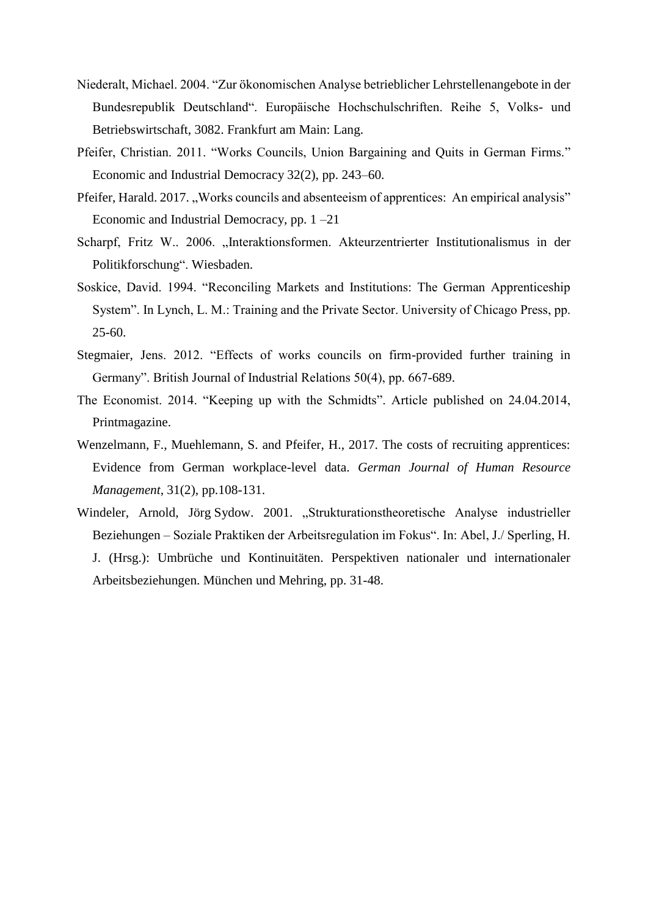- Niederalt, Michael. 2004. "Zur ökonomischen Analyse betrieblicher Lehrstellenangebote in der Bundesrepublik Deutschland". Europäische Hochschulschriften. Reihe 5, Volks- und Betriebswirtschaft, 3082. Frankfurt am Main: Lang.
- Pfeifer, Christian. 2011. "Works Councils, Union Bargaining and Quits in German Firms." Economic and Industrial Democracy 32(2), pp. 243–60.
- Pfeifer, Harald. 2017. "Works councils and absenteeism of apprentices: An empirical analysis" Economic and Industrial Democracy, pp. 1 –21
- Scharpf, Fritz W.. 2006. "Interaktionsformen. Akteurzentrierter Institutionalismus in der Politikforschung". Wiesbaden.
- Soskice, David. 1994. "Reconciling Markets and Institutions: The German Apprenticeship System". In Lynch, L. M.: Training and the Private Sector. University of Chicago Press, pp. 25-60.
- Stegmaier, Jens. 2012. "Effects of works councils on firm-provided further training in Germany". British Journal of Industrial Relations 50(4), pp. 667-689.
- The Economist. 2014. "Keeping up with the Schmidts". Article published on 24.04.2014, Printmagazine.
- Wenzelmann, F., Muehlemann, S. and Pfeifer, H., 2017. The costs of recruiting apprentices: Evidence from German workplace-level data. *German Journal of Human Resource Management*, 31(2), pp.108-131.
- [Windeler, Arnold,](https://www.econbiz.de/Search/Results?lookfor=%22Windeler%2C+Arnold%22&type=Author) Jörg Sydow. 2001. "Strukturationstheoretische Analyse industrieller Beziehungen – Soziale Praktiken der Arbeitsregulation im Fokus". In: Abel, J./ Sperling, H. J. (Hrsg.): Umbrüche und Kontinuitäten. Perspektiven nationaler und internationaler Arbeitsbeziehungen. München und Mehring, pp. 31-48.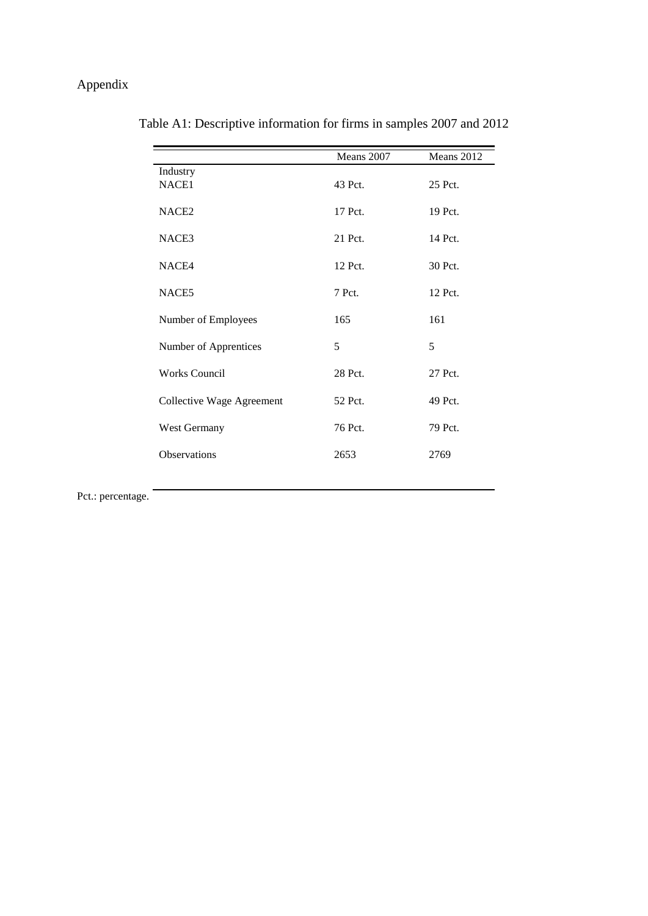# Appendix

|                           | Means 2007 | Means 2012 |
|---------------------------|------------|------------|
| Industry                  |            |            |
| NACE1                     | 43 Pct.    | 25 Pct.    |
| NACE <sub>2</sub>         | 17 Pct.    | 19 Pct.    |
| NACE3                     | 21 Pct.    | 14 Pct.    |
| NACE4                     | 12 Pct.    | 30 Pct.    |
| NACE5                     | 7 Pct.     | 12 Pct.    |
| Number of Employees       | 165        | 161        |
| Number of Apprentices     | 5          | 5          |
| <b>Works Council</b>      | 28 Pct.    | 27 Pct.    |
| Collective Wage Agreement | 52 Pct.    | 49 Pct.    |
| West Germany              | 76 Pct.    | 79 Pct.    |
| Observations              | 2653       | 2769       |

Table A1: Descriptive information for firms in samples 2007 and 2012

Pct.: percentage.